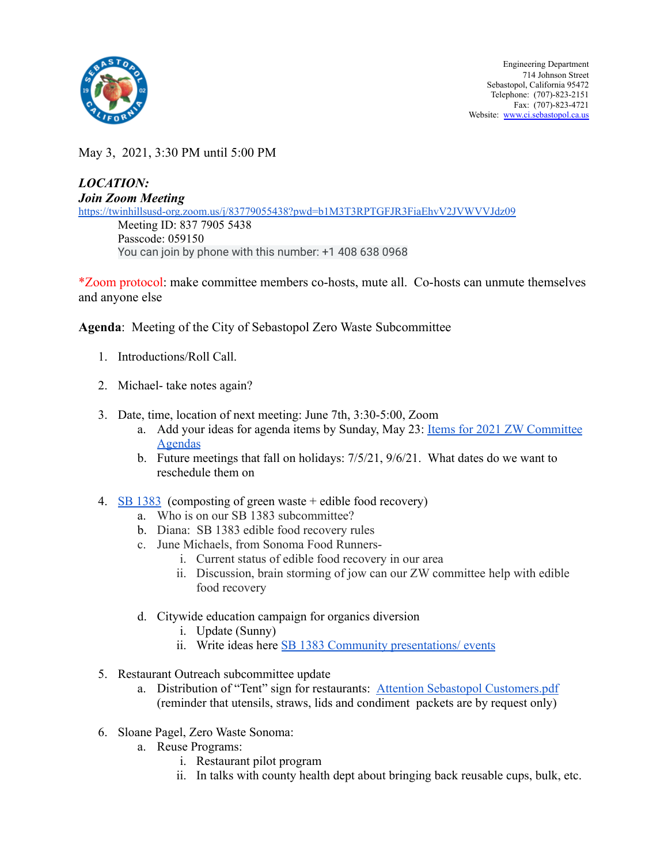

May 3, 2021, 3:30 PM until 5:00 PM

## *LOCATION: Join Zoom Meeting* <https://twinhillsusd-org.zoom.us/j/83779055438?pwd=b1M3T3RPTGFJR3FiaEhvV2JVWVVJdz09> Meeting ID: 837 7905 5438 Passcode: 059150 You can join by phone with this number: +1 408 638 0968

\*Zoom protocol: make committee members co-hosts, mute all. Co-hosts can unmute themselves and anyone else

**Agenda**: Meeting of the City of Sebastopol Zero Waste Subcommittee

- 1. Introductions/Roll Call.
- 2. Michael- take notes again?
- 3. Date, time, location of next meeting: June 7th, 3:30-5:00, Zoom
	- a. Add your ideas for agenda items by Sunday, May 23: Items for 2021 ZW [Committee](https://docs.google.com/document/d/1mfiDI5D7A_9vGduJzrEh-S7IUApcot8VaHL2h4hpLbs/edit?usp=sharing) [Agendas](https://docs.google.com/document/d/1mfiDI5D7A_9vGduJzrEh-S7IUApcot8VaHL2h4hpLbs/edit?usp=sharing)
	- b. Future meetings that fall on holidays:  $7/5/21$ ,  $9/6/21$ . What dates do we want to reschedule them on
- 4.  $\overline{\text{SB } 1383}$  $\overline{\text{SB } 1383}$  $\overline{\text{SB } 1383}$  (composting of green waste + edible food recovery)
	- a. Who is on our SB 1383 subcommittee?
	- b. Diana: SB 1383 edible food recovery rules
	- c. June Michaels, from Sonoma Food Runners
		- i. Current status of edible food recovery in our area
		- ii. Discussion, brain storming of jow can our ZW committee help with edible food recovery
	- d. Citywide education campaign for organics diversion
		- i. Update (Sunny)
		- ii. Write ideas here **SB 1383 Community [presentations/](https://docs.google.com/document/d/1ms4NA6ALzqR9osj4LKGadpVykrMkZDlVQ82iCtMaV0Y/edit?usp=sharing) events**
- 5. Restaurant Outreach subcommittee update
	- a. Distribution of "Tent" sign for restaurants: Attention Sebastopol [Customers.pdf](https://drive.google.com/file/d/1hQIaFyWATbvQAaOwjjWSwCetS4LrKe5Y/view?usp=sharing) (reminder that utensils, straws, lids and condiment packets are by request only)
- 6. Sloane Pagel, Zero Waste Sonoma:
	- a. Reuse Programs:
		- i. Restaurant pilot program
		- ii. In talks with county health dept about bringing back reusable cups, bulk, etc.